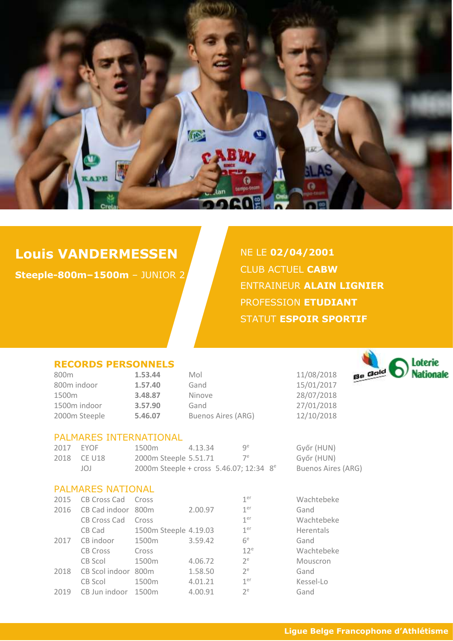

# **Louis VANDERMESSEN**

**Steeple-800m–1500m** – JUNIOR 2

NE LE **02/04/2001** CLUB ACTUEL **CABW** ENTRAINEUR **ALAIN LIGNIER** PROFESSION **ETUDIANT** STATUT **ESPOIR SPORTIF** 

#### **RECORDS PERSONNELS**

| 800 <sub>m</sub> | 1.53.44 | Mol                       | 11/08/2018 |
|------------------|---------|---------------------------|------------|
| 800m indoor      | 1.57.40 | Gand                      | 15/01/2017 |
| 1500m            | 3.48.87 | Ninove                    | 28/07/2018 |
| 1500m indoor     | 3.57.90 | Gand                      | 27/01/2018 |
| 2000m Steeple    | 5.46.07 | <b>Buenos Aires (ARG)</b> | 12/10/2018 |

# PALMARES INTERNATIONAL

| 2017 | EYOF        | 1500m                                               | 4.13.34 | qe    |
|------|-------------|-----------------------------------------------------|---------|-------|
|      | 2018 CE U18 | 2000m Steeple 5.51.71                               |         | $7^e$ |
|      | JOJ         | 2000m Steeple + cross 5.46.07; 12:34 8 <sup>e</sup> |         |       |

#### PALMARES NATIONAL

| 2015 | <b>CB Cross Cad</b> | Cross                 |         | 1 <sup>er</sup> | Wachtebeke |
|------|---------------------|-----------------------|---------|-----------------|------------|
| 2016 | CB Cad indoor 800m  |                       | 2.00.97 | 1 <sup>er</sup> | Gand       |
|      | <b>CB Cross Cad</b> | Cross                 |         | 1 <sup>er</sup> | Wachtebeke |
|      | CB Cad              | 1500m Steeple 4.19.03 |         | 1 <sup>er</sup> | Herentals  |
| 2017 | CB indoor           | 1500m                 | 3.59.42 | 6 <sup>e</sup>  | Gand       |
|      | <b>CB Cross</b>     | Cross                 |         | 12 <sup>e</sup> | Wachtebeke |
|      | CB Scol             | 1500m                 | 4.06.72 | $2^e$           | Mouscron   |
| 2018 | CB Scol indoor 800m |                       | 1.58.50 | $2^e$           | Gand       |
|      | CB Scol             | 1500 <sub>m</sub>     | 4.01.21 | 1 <sup>er</sup> | Kessel-Lo  |
| 2019 | CB Jun indoor 1500m |                       | 4.00.91 | $2^e$           | Gand       |

800m **1.53.44** Mol 11/08/2018 800m indoor **1.57.40** Gand 15/01/2017 1500m **3.48.87** Ninove 28/07/2018 1500m indoor **3.57.90** Gand 27/01/2018



Győr (HUN) Győr (HUN) Buenos Aires (ARG)